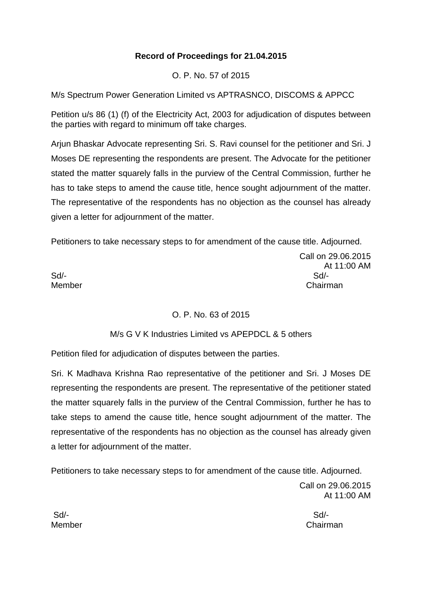## **Record of Proceedings for 21.04.2015**

O. P. No. 57 of 2015

M/s Spectrum Power Generation Limited vs APTRASNCO, DISCOMS & APPCC

Petition u/s 86 (1) (f) of the Electricity Act, 2003 for adjudication of disputes between the parties with regard to minimum off take charges.

Arjun Bhaskar Advocate representing Sri. S. Ravi counsel for the petitioner and Sri. J Moses DE representing the respondents are present. The Advocate for the petitioner stated the matter squarely falls in the purview of the Central Commission, further he has to take steps to amend the cause title, hence sought adjournment of the matter. The representative of the respondents has no objection as the counsel has already given a letter for adjournment of the matter.

Petitioners to take necessary steps to for amendment of the cause title. Adjourned.

Sd/- Sd/-

Call on 29.06.2015 At 11:00 AM Member Chairman

### O. P. No. 63 of 2015

M/s G V K Industries Limited vs APEPDCL & 5 others

Petition filed for adjudication of disputes between the parties.

Sri. K Madhava Krishna Rao representative of the petitioner and Sri. J Moses DE representing the respondents are present. The representative of the petitioner stated the matter squarely falls in the purview of the Central Commission, further he has to take steps to amend the cause title, hence sought adjournment of the matter. The representative of the respondents has no objection as the counsel has already given a letter for adjournment of the matter.

Petitioners to take necessary steps to for amendment of the cause title. Adjourned.

Call on 29.06.2015 At 11:00 AM

Member Chairman

Sd/- Sd/-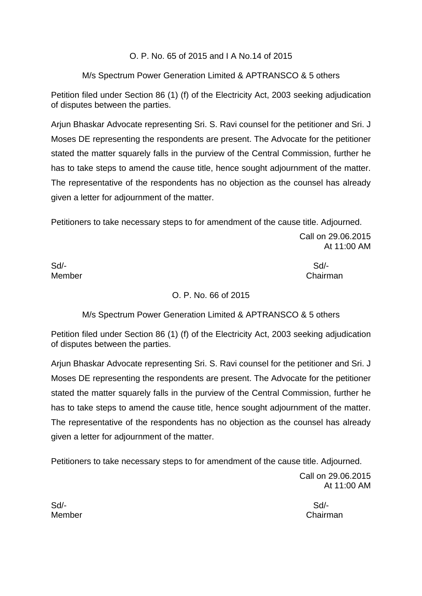### O. P. No. 65 of 2015 and I A No.14 of 2015

### M/s Spectrum Power Generation Limited & APTRANSCO & 5 others

Petition filed under Section 86 (1) (f) of the Electricity Act, 2003 seeking adjudication of disputes between the parties.

Arjun Bhaskar Advocate representing Sri. S. Ravi counsel for the petitioner and Sri. J Moses DE representing the respondents are present. The Advocate for the petitioner stated the matter squarely falls in the purview of the Central Commission, further he has to take steps to amend the cause title, hence sought adjournment of the matter. The representative of the respondents has no objection as the counsel has already given a letter for adjournment of the matter.

Petitioners to take necessary steps to for amendment of the cause title. Adjourned.

Call on 29.06.2015 At 11:00 AM

Sd/- Sd/-

Member **Chairman** 

### O. P. No. 66 of 2015

M/s Spectrum Power Generation Limited & APTRANSCO & 5 others

Petition filed under Section 86 (1) (f) of the Electricity Act, 2003 seeking adjudication of disputes between the parties.

Arjun Bhaskar Advocate representing Sri. S. Ravi counsel for the petitioner and Sri. J Moses DE representing the respondents are present. The Advocate for the petitioner stated the matter squarely falls in the purview of the Central Commission, further he has to take steps to amend the cause title, hence sought adjournment of the matter. The representative of the respondents has no objection as the counsel has already given a letter for adjournment of the matter.

Petitioners to take necessary steps to for amendment of the cause title. Adjourned.

Call on 29.06.2015 At 11:00 AM

Member Chairman

Sd/- Sd/-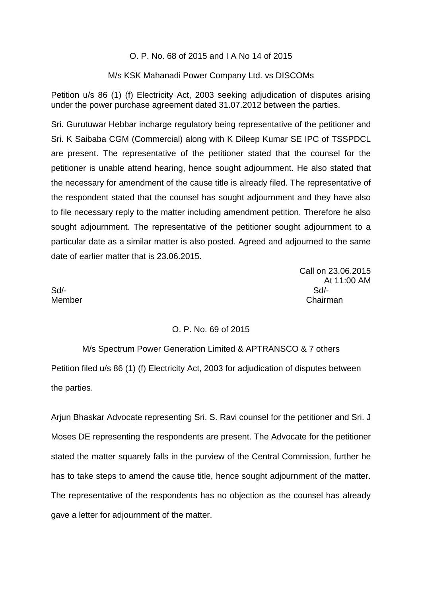#### O. P. No. 68 of 2015 and I A No 14 of 2015

#### M/s KSK Mahanadi Power Company Ltd. vs DISCOMs

Petition u/s 86 (1) (f) Electricity Act, 2003 seeking adjudication of disputes arising under the power purchase agreement dated 31.07.2012 between the parties.

Sri. Gurutuwar Hebbar incharge regulatory being representative of the petitioner and Sri. K Saibaba CGM (Commercial) along with K Dileep Kumar SE IPC of TSSPDCL are present. The representative of the petitioner stated that the counsel for the petitioner is unable attend hearing, hence sought adjournment. He also stated that the necessary for amendment of the cause title is already filed. The representative of the respondent stated that the counsel has sought adjournment and they have also to file necessary reply to the matter including amendment petition. Therefore he also sought adjournment. The representative of the petitioner sought adjournment to a particular date as a similar matter is also posted. Agreed and adjourned to the same date of earlier matter that is 23.06.2015.

 Call on 23.06.2015 At 11:00 AM Member Chairman

Sd/- Sd/-

#### O. P. No. 69 of 2015

M/s Spectrum Power Generation Limited & APTRANSCO & 7 others Petition filed u/s 86 (1) (f) Electricity Act, 2003 for adjudication of disputes between the parties.

Arjun Bhaskar Advocate representing Sri. S. Ravi counsel for the petitioner and Sri. J Moses DE representing the respondents are present. The Advocate for the petitioner stated the matter squarely falls in the purview of the Central Commission, further he has to take steps to amend the cause title, hence sought adjournment of the matter. The representative of the respondents has no objection as the counsel has already gave a letter for adjournment of the matter.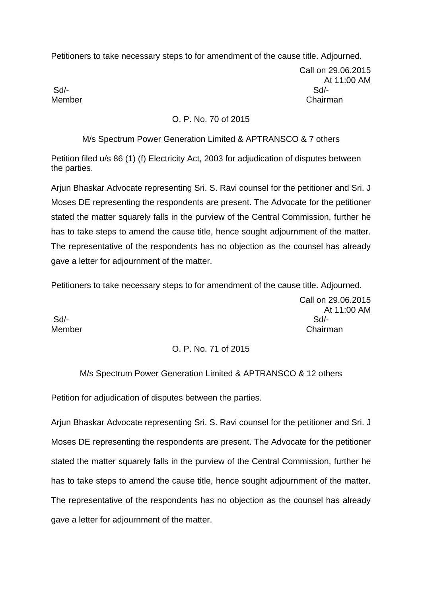Petitioners to take necessary steps to for amendment of the cause title. Adjourned.

Call on 29.06.2015 At 11:00 AM Member Chairman

Sd/- Sd/-

### O. P. No. 70 of 2015

M/s Spectrum Power Generation Limited & APTRANSCO & 7 others

Petition filed u/s 86 (1) (f) Electricity Act, 2003 for adjudication of disputes between the parties.

Arjun Bhaskar Advocate representing Sri. S. Ravi counsel for the petitioner and Sri. J Moses DE representing the respondents are present. The Advocate for the petitioner stated the matter squarely falls in the purview of the Central Commission, further he has to take steps to amend the cause title, hence sought adjournment of the matter. The representative of the respondents has no objection as the counsel has already gave a letter for adjournment of the matter.

Petitioners to take necessary steps to for amendment of the cause title. Adjourned.

Call on 29.06.2015 At 11:00 AM Sd/- Sd/- Member **Chairman** 

# O. P. No. 71 of 2015

# M/s Spectrum Power Generation Limited & APTRANSCO & 12 others

Petition for adjudication of disputes between the parties.

Arjun Bhaskar Advocate representing Sri. S. Ravi counsel for the petitioner and Sri. J Moses DE representing the respondents are present. The Advocate for the petitioner stated the matter squarely falls in the purview of the Central Commission, further he has to take steps to amend the cause title, hence sought adjournment of the matter. The representative of the respondents has no objection as the counsel has already gave a letter for adjournment of the matter.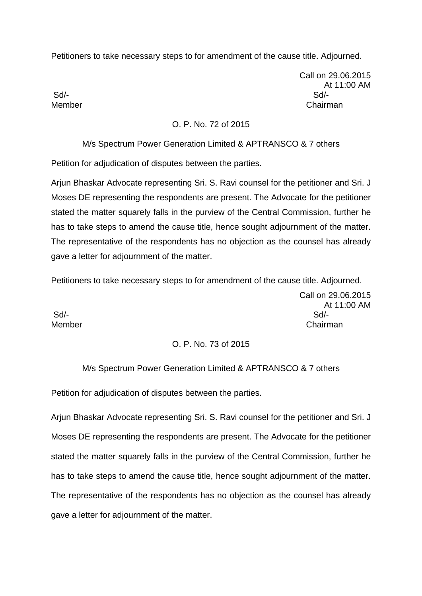Petitioners to take necessary steps to for amendment of the cause title. Adjourned.

Call on 29.06.2015 At 11:00 AM Sd/- Sd/- Member **Chairman** 

### O. P. No. 72 of 2015

#### M/s Spectrum Power Generation Limited & APTRANSCO & 7 others

Petition for adjudication of disputes between the parties.

Arjun Bhaskar Advocate representing Sri. S. Ravi counsel for the petitioner and Sri. J Moses DE representing the respondents are present. The Advocate for the petitioner stated the matter squarely falls in the purview of the Central Commission, further he has to take steps to amend the cause title, hence sought adjournment of the matter. The representative of the respondents has no objection as the counsel has already gave a letter for adjournment of the matter.

Petitioners to take necessary steps to for amendment of the cause title. Adjourned.

Sd/- Sd/-

Call on 29.06.2015 At 11:00 AM Member Chairman

#### O. P. No. 73 of 2015

#### M/s Spectrum Power Generation Limited & APTRANSCO & 7 others

Petition for adjudication of disputes between the parties.

Arjun Bhaskar Advocate representing Sri. S. Ravi counsel for the petitioner and Sri. J Moses DE representing the respondents are present. The Advocate for the petitioner stated the matter squarely falls in the purview of the Central Commission, further he has to take steps to amend the cause title, hence sought adjournment of the matter. The representative of the respondents has no objection as the counsel has already gave a letter for adjournment of the matter.